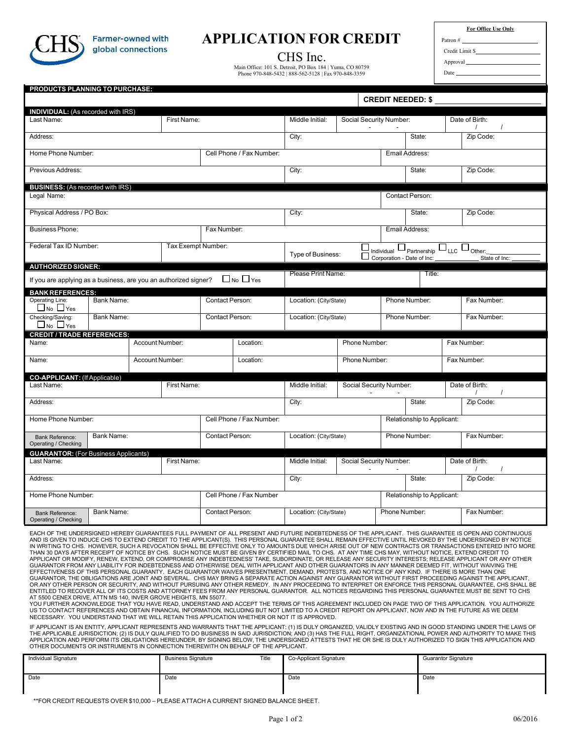

**Farmer-owned with** global connections

## **APPLICATION FOR CREDIT**

CHS Inc.

Main Office: 101 S. Detroit, PO Box 184 | Yuma, CO 80759 Phone 970-848-5432 | 888-562-5128 | Fax 970-848-3359

| <b>For Office Use Only</b> |  |
|----------------------------|--|
|                            |  |
| Limit S                    |  |

Approval Date

Patron # Credit

|                                                                                                                                                          |                 |  |                    |                   |                          |                        |                        |                                                      | <b>CREDIT NEEDED: \$</b>   |                                        |
|----------------------------------------------------------------------------------------------------------------------------------------------------------|-----------------|--|--------------------|-------------------|--------------------------|------------------------|------------------------|------------------------------------------------------|----------------------------|----------------------------------------|
| <b>INDIVIDUAL:</b> (As recorded with IRS)                                                                                                                |                 |  |                    |                   |                          |                        |                        |                                                      |                            |                                        |
| Last Name:                                                                                                                                               |                 |  | First Name:        |                   |                          | Middle Initial:        |                        | Social Security Number:                              |                            | Date of Birth:<br>$\prime$<br>$\prime$ |
| Address:                                                                                                                                                 |                 |  |                    |                   |                          | City:                  |                        |                                                      | State:                     | Zip Code:                              |
| Home Phone Number:                                                                                                                                       |                 |  |                    |                   | Cell Phone / Fax Number: |                        |                        |                                                      | Email Address:             |                                        |
| Previous Address:                                                                                                                                        |                 |  |                    |                   |                          | City:                  |                        |                                                      | State:                     | Zip Code:                              |
| <b>BUSINESS:</b> (As recorded with IRS)                                                                                                                  |                 |  |                    |                   |                          |                        |                        |                                                      |                            |                                        |
| Legal Name:                                                                                                                                              |                 |  |                    |                   |                          |                        |                        |                                                      | Contact Person:            |                                        |
| Physical Address / PO Box:                                                                                                                               |                 |  |                    |                   |                          | City:                  |                        |                                                      | State:                     | Zip Code:                              |
| <b>Business Phone:</b>                                                                                                                                   |                 |  |                    | Fax Number:       |                          |                        |                        |                                                      | Email Address:             |                                        |
| Federal Tax ID Number:                                                                                                                                   |                 |  | Tax Exempt Number: | Type of Business: |                          |                        | Individual Partnership | $\square$ <sub>LLC</sub> $\square$ <sub>Other:</sub> |                            |                                        |
|                                                                                                                                                          |                 |  |                    |                   |                          |                        |                        |                                                      | Corporation - Date of Inc. | State of Inc:                          |
| <b>AUTHORIZED SIGNER:</b>                                                                                                                                |                 |  |                    |                   |                          | Please Print Name:     |                        |                                                      | Title:                     |                                        |
| If you are applying as a business, are you an authorized signer?                                                                                         |                 |  |                    |                   | $\Box$ No $\Box$ Yes     |                        |                        |                                                      |                            |                                        |
| <b>BANK REFERENCES:</b><br>Operating Line:                                                                                                               | Bank Name:      |  |                    |                   |                          |                        |                        |                                                      | Phone Number:              | Fax Number:                            |
| $\Box$ No $\Box$ Yes                                                                                                                                     |                 |  |                    | Contact Person:   |                          | Location: (City/State) |                        |                                                      |                            |                                        |
| Checking/Saving:<br>$\Box$ No $\Box$ Yes                                                                                                                 | Bank Name:      |  | Contact Person:    |                   | Location: (City/State)   |                        |                        | Phone Number:                                        | Fax Number:                |                                        |
| <b>CREDIT / TRADE REFERENCES:</b>                                                                                                                        |                 |  |                    |                   |                          |                        |                        |                                                      |                            |                                        |
|                                                                                                                                                          | Account Number: |  | Location:          |                   |                          | Phone Number:          |                        |                                                      | Fax Number:                |                                        |
|                                                                                                                                                          |                 |  | Account Number:    |                   |                          |                        | Phone Number:          |                                                      |                            |                                        |
|                                                                                                                                                          |                 |  |                    |                   | Location:                |                        |                        |                                                      |                            | Fax Number:                            |
|                                                                                                                                                          |                 |  |                    |                   |                          |                        |                        |                                                      |                            |                                        |
|                                                                                                                                                          |                 |  | First Name:        |                   |                          | Middle Initial:        |                        | Social Security Number:                              |                            | Date of Birth:                         |
|                                                                                                                                                          |                 |  |                    |                   |                          | City:                  |                        |                                                      | State:                     | Zip Code:                              |
|                                                                                                                                                          |                 |  |                    |                   | Cell Phone / Fax Number: |                        |                        |                                                      | Relationship to Applicant: |                                        |
| Name:<br>Name:<br><b>CO-APPLICANT: (If Applicable)</b><br>Last Name:<br>Address:<br>Home Phone Number:<br><b>Bank Reference:</b><br>Operating / Checking | Bank Name:      |  |                    | Contact Person:   |                          | Location: (City/State) |                        |                                                      | Phone Number:              | Fax Number:                            |
|                                                                                                                                                          |                 |  |                    |                   |                          |                        |                        |                                                      |                            |                                        |
|                                                                                                                                                          |                 |  | First Name:        |                   |                          | Middle Initial:        |                        | Social Security Number:                              |                            | Date of Birth:<br>$\prime$             |
|                                                                                                                                                          |                 |  |                    |                   |                          | City:                  |                        |                                                      | State:                     | Zip Code:                              |
| <b>GUARANTOR:</b> (For Business Applicants)<br>Last Name:<br>Address:<br>Home Phone Number:                                                              |                 |  |                    |                   | Cell Phone / Fax Number  |                        |                        |                                                      | Relationship to Applicant: |                                        |

IN WRITING TO CHS. HOWEVER, SUCH A REVOCATION SHALL BE EFFECTIVE ONLY TO AMOUNTS DUE WHICH ARISE OUT OF NEW CONTRACTS OR TRANSACTIONS ENTERED INTO MORE<br>THAN 30 DAYS AFTER RECEPT OF NOTICE BY CHS. SUCH NOTICE MUST BE GIVEN OR ANY OTHER PERSON OR SECURITY, AND WITHOUT PURSUING ANY OTHER REMEDY. IN ANY PROCEEDING TO INTERPRET OR ENFORCE THIS PERSONAL GUARANTEE, CHS SHALL BE ENTITLED TO RECOVER ALL OF ITS COSTS AND ATTORNEY FEES FROM ANY PERSONAL GUARANTOR. ALL NOTICES REGARDING THIS PERSONAL GUARANTEE MUST BE SENT TO CHS<br>AT 5500 CENEX DRIVE, ATTN MS 140, INVER GROVE HEIGHTS, MN 55077.

YOU FURTHER ACKNOWLEDGE THAT YOU HAVE READ, UNDERSTAND AND ACCEPT THE TERMS OF THIS AGREEMENT INCLUDED ON PAGE TWO OF THIS APPLICATION. YOU AUTHORIZE<br>US TO CONTACT REFERENCES AND OBTAIN FINANCIAL INFORMATION, INCLUDING BUT NECESSARY. YOU UNDERSTAND THAT WE WILL RETAIN THIS APPLICATION WHETHER OR NOT IT IS APPROVED.

IF APPLICANT IS AN ENTITY, APPLICANT REPRESENTS AND WARRANTS THAT THE APPLICANT: (1) IS DULY ORGANIZED, VALIDLY EXISTING AND IN GOOD STANDING UNDER THE LAWS OF THE APPLICABLE JURISDICTION; (2) IS DULY QUALIFIED TO DO BUSINESS IN SAID JURISDICTION; AND (3) HAS THE FULL RIGHT, ORGANIZATIONAL POWER AND AUTHORITY TO MAKE THIS<br>APPLICATION AND PERFORM ITS OBLIGATIONS HEREUNDER. BY SIGN OTHER DOCUMENTS OR INSTRUMENTS IN CONNECTION THEREWITH ON BEHALF OF THE APPLICANT.

| Individual Signature | <b>Business Signature</b> | Title | Co-Applicant Signature | <b>Guarantor Signature</b> |
|----------------------|---------------------------|-------|------------------------|----------------------------|
| Date                 | Date                      |       | Date                   | Date                       |

\*\*FOR CREDIT REQUESTS OVER \$10,000 – PLEASE ATTACH A CURRENT SIGNED BALANCE SHEET.